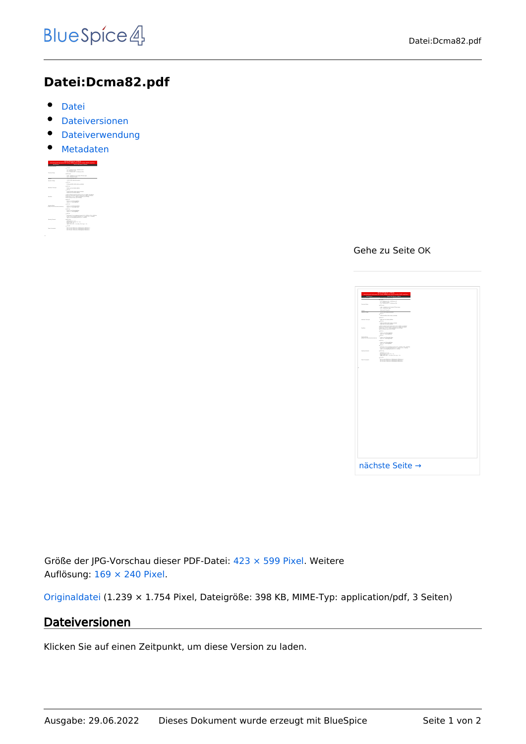## **Datei:Dcma82.pdf**

- [Datei](#page-0-0)
- [Dateiversionen](#page-0-1)
- **•** [Dateiverwendung](#page-1-0)
- [Metadaten](#page-1-1)

<span id="page-0-0"></span>

|                                                            | <b>MIGAGINATION AND LOCALITY</b><br>Industrial analy high source hid ringing highly and mix PC module. Rubit constitution                                                              |
|------------------------------------------------------------|----------------------------------------------------------------------------------------------------------------------------------------------------------------------------------------|
|                                                            |                                                                                                                                                                                        |
| -------                                                    | --------                                                                                                                                                                               |
|                                                            | 1.125                                                                                                                                                                                  |
| <b>Experts Britts</b>                                      | 5.5 - 5. Paintings 1.5 - 5. Schwarzer Ville<br><b>DOWNER HEARING</b>                                                                                                                   |
|                                                            | <b>Connect</b>                                                                                                                                                                         |
|                                                            | A 49 - A 49 West With Thingh WTA will need<br>A 471 - A 497-978-761 month                                                                                                              |
| <b>ENGINE</b>                                              | <b>MARINE PRODUCT</b>                                                                                                                                                                  |
| <b>That due of share</b>                                   | LOAN AVE ANNE LOAN                                                                                                                                                                     |
|                                                            | 1.012                                                                                                                                                                                  |
|                                                            | <b>WINDOWS ARTS ARTS AND ASSESSED</b>                                                                                                                                                  |
|                                                            | 1.011                                                                                                                                                                                  |
| <b><i>RAMAY MEAN</i></b>                                   | <b>FOR ARTIST BUTCH FOTO</b>                                                                                                                                                           |
|                                                            | $+$ and the                                                                                                                                                                            |
|                                                            | <b>WINDOWS STATE SERVICES</b><br>FOR AS THE GATE FROM                                                                                                                                  |
| <b>DATE</b>                                                | A 23 To formation the 41 to 16 To 16 Billion and Mary<br>THE FILTER PARK THE RETAIL BLUE THIS ASSISTED.<br>are real to see I seek advanced also related<br>The red business with terms |
|                                                            | $+$ and the                                                                                                                                                                            |
|                                                            | <b>Dutch of three British</b><br><b>SAV 15 - TRINGROOM</b>                                                                                                                             |
|                                                            | 2.011                                                                                                                                                                                  |
| <b><i><u>DISPONDER</u></i></b><br>where the assumption and | <b>Public Ad BENNETWALK</b><br><b>SAVID - MANUFINAL</b>                                                                                                                                |
|                                                            | 1.011                                                                                                                                                                                  |
|                                                            | <b>Dutch of three British</b><br>new in consuming                                                                                                                                      |
|                                                            | 1.011                                                                                                                                                                                  |
|                                                            | VATASAN TEGA-AANNAS PASAN & TU-3 MAIN 578-2480000<br>Syllon 19-51-Authoris, Painters N. - 5 Miles N.P., Schmidter<br>and announced damage in careers.                                  |
| <b><i>The Art Christien</i></b>                            | 4.0178                                                                                                                                                                                 |
|                                                            | <b>Williams 15.5 Jan</b><br><b>Start Service Courts</b> 18. F - 19.<br>mine arts, we<br>deal talents in the ten was made to                                                            |
|                                                            | 1.001                                                                                                                                                                                  |
| For Treatment                                              | <b>PETATUR WAS IN LINEARAN TRANSMIT</b><br>or lance land in imposed smoke-                                                                                                             |

Gehe zu Seite OK

|                                          | <u>the contract of the contract of the contract of the contract of the contract of the contract of the contract of the contract of the contract of the contract of the contract of the contract of the contract of the contract </u>                                                                               |  |
|------------------------------------------|--------------------------------------------------------------------------------------------------------------------------------------------------------------------------------------------------------------------------------------------------------------------------------------------------------------------|--|
|                                          | $\overline{\phantom{a}}$                                                                                                                                                                                                                                                                                           |  |
|                                          | $\begin{aligned} 1 &\cdot 11 &\cdot 14 &\cdot 1400000 &\cdot 14.570000 &\cdot 14.5800000 &\cdot 16.10000 \\ 2 &\cdot 24.55 &\cdot 14.000000 &\cdot 16.00000 &\cdot 14.50000 &\cdot 14.000000 &\cdot 14.000000 &\cdot 14.000000 &\cdot 14.000000 &\cdot 14.000000 &\cdot 14.000000 &\cdot 14.000000 &\cdot 14.0000$ |  |
|                                          | <b>Allena</b>                                                                                                                                                                                                                                                                                                      |  |
|                                          | A 495 - A substitute for the fluctuate of the party and pro-<br>A 475 - A substitute for any pair                                                                                                                                                                                                                  |  |
|                                          | <b>BASIC PARTS</b><br><b><i>SAN FR GUESTART</i></b>                                                                                                                                                                                                                                                                |  |
|                                          | $\bullet$ mm<br>------------------                                                                                                                                                                                                                                                                                 |  |
|                                          | $\sim$                                                                                                                                                                                                                                                                                                             |  |
| or terms                                 | <b>FOR AT THE RIFE SIZE</b><br><b>County</b>                                                                                                                                                                                                                                                                       |  |
|                                          | STORAGEMENT SPW, SURVEYA ESP                                                                                                                                                                                                                                                                                       |  |
|                                          | We the characterization of the state $\mathcal{M}$ as a subsequent function of the local state function of the later of the later of the later of the later of the later of the later of the later of the later of the later of th                                                                                 |  |
|                                          | <b>County</b>                                                                                                                                                                                                                                                                                                      |  |
|                                          | home our strong days                                                                                                                                                                                                                                                                                               |  |
| energing<br>National energies and a fact | <b>COLOR</b><br>have a monthly                                                                                                                                                                                                                                                                                     |  |
|                                          | $\sim$                                                                                                                                                                                                                                                                                                             |  |
|                                          | home our strong days                                                                                                                                                                                                                                                                                               |  |
|                                          | $+$<br>.<br>Indian de Terrasandegog, chamado de a follata e foi a futura<br>Indian del mandagag d'armado de a follata de a foi del latera                                                                                                                                                                          |  |
|                                          | in an                                                                                                                                                                                                                                                                                                              |  |
|                                          | which<br>said $\mathcal{M}(f\circ F)$ , $\mathcal{M}(f\circ F)$ , $\mathcal{M}(g) = \mathcal{M}(f\circ F) + \mathcal{M}(f) + \mathcal{M}(f) + \mathcal{M}(f) + \mathcal{M}(f)$ ,<br>where $\mathcal{M}(f)$ , $\mathcal{M}(g)$ , it as using its<br>contract of $f$ , $\mathcal{M}(f)$                              |  |
|                                          | $\cdots$                                                                                                                                                                                                                                                                                                           |  |
| energie                                  | <b>RI TA SAN IRAIN (M. 1991) ENVIRONAL TANINGAL</b><br>RI TA SAN IRAIN (M. 1991) ENVIRONAL ENVIRONAL<br>RI TA SAN IRAIN (M. 1991) ENVIRONAL ENVIRONAL                                                                                                                                                              |  |
|                                          |                                                                                                                                                                                                                                                                                                                    |  |
|                                          |                                                                                                                                                                                                                                                                                                                    |  |

Größe der JPG-Vorschau dieser PDF-Datei: [423 × 599 Pixel](https://wiki.oevsv.at/w/nsfr_img_auth.php/thumb/a/af/Dcma82.pdf/page1-423px-Dcma82.pdf.jpg). Weitere Auflösung: [169 × 240 Pixel.](https://wiki.oevsv.at/w/nsfr_img_auth.php/thumb/a/af/Dcma82.pdf/page1-169px-Dcma82.pdf.jpg)

[Originaldatei](https://wiki.oevsv.at/w/nsfr_img_auth.php/a/af/Dcma82.pdf) (1.239 × 1.754 Pixel, Dateigröße: 398 KB, MIME-Typ: application/pdf, 3 Seiten)

### <span id="page-0-1"></span>Dateiversionen

Klicken Sie auf einen Zeitpunkt, um diese Version zu laden.